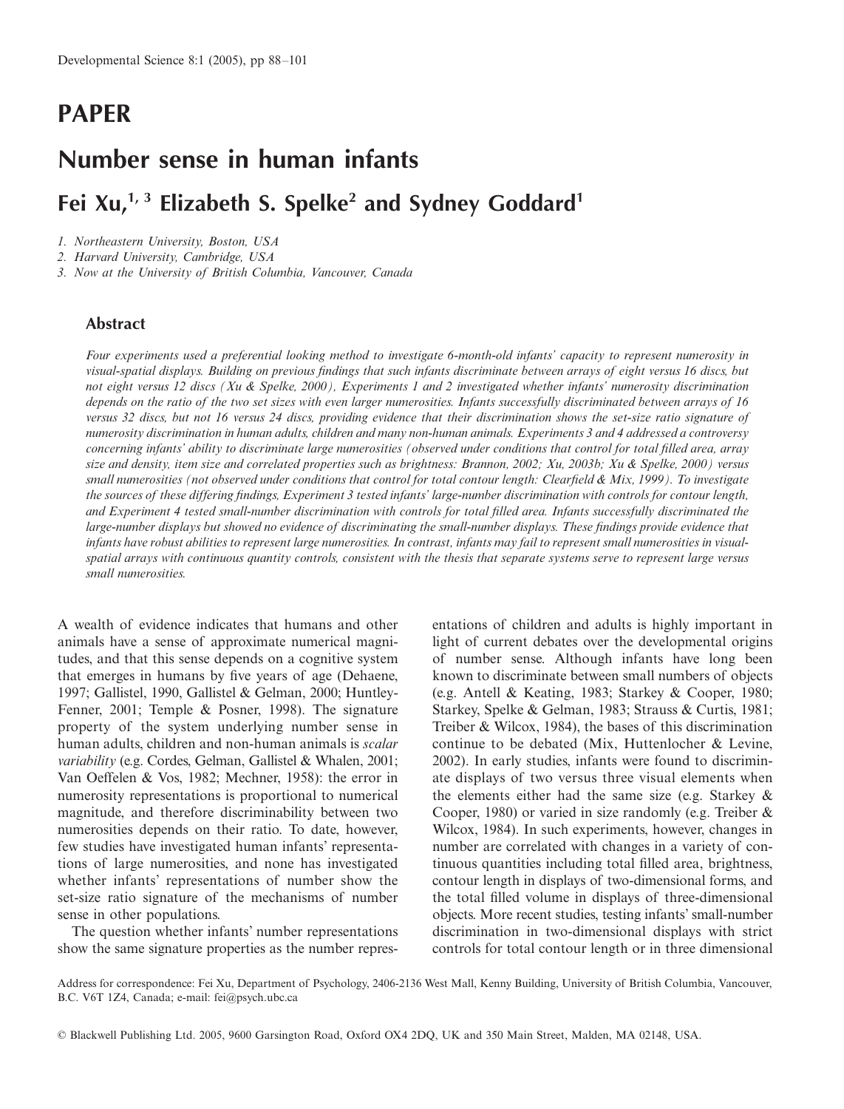# Blackwell Publishing, Ltd. **PAPER**

# **Number sense in human infants**

# Fei Xu,<sup>1, 3</sup> Elizabeth S. Spelke<sup>2</sup> and Sydney Goddard<sup>1</sup>

*1. Northeastern University, Boston, USA*

*2. Harvard University, Cambridge, USA*

*3. Now at the University of British Columbia, Vancouver, Canada* 

# **Abstract**

*Four experiments used a preferential looking method to investigate 6-month-old infants' capacity to represent numerosity in visual-spatial displays. Building on previous findings that such infants discriminate between arrays of eight versus 16 discs, but not eight versus 12 discs (Xu & Spelke, 2000), Experiments 1 and 2 investigated whether infants' numerosity discrimination depends on the ratio of the two set sizes with even larger numerosities. Infants successfully discriminated between arrays of 16 versus 32 discs, but not 16 versus 24 discs, providing evidence that their discrimination shows the set-size ratio signature of numerosity discrimination in human adults, children and many non-human animals. Experiments 3 and 4 addressed a controversy concerning infants' ability to discriminate large numerosities (observed under conditions that control for total filled area, array size and density, item size and correlated properties such as brightness: Brannon, 2002; Xu, 2003b; Xu & Spelke, 2000) versus small numerosities (not observed under conditions that control for total contour length: Clearfield & Mix, 1999). To investigate the sources of these differing findings, Experiment 3 tested infants' large-number discrimination with controls for contour length, and Experiment 4 tested small-number discrimination with controls for total filled area. Infants successfully discriminated the large-number displays but showed no evidence of discriminating the small-number displays. These findings provide evidence that* infants have robust abilities to represent large numerosities. In contrast, infants may fail to represent small numerosities in visual*spatial arrays with continuous quantity controls, consistent with the thesis that separate systems serve to represent large versus small numerosities.*

A wealth of evidence indicates that humans and other animals have a sense of approximate numerical magnitudes, and that this sense depends on a cognitive system that emerges in humans by five years of age (Dehaene, 1997; Gallistel, 1990, Gallistel & Gelman, 2000; Huntley-Fenner, 2001; Temple & Posner, 1998). The signature property of the system underlying number sense in human adults, children and non-human animals is *scalar variability* (e.g. Cordes, Gelman, Gallistel & Whalen, 2001; Van Oeffelen & Vos, 1982; Mechner, 1958): the error in numerosity representations is proportional to numerical magnitude, and therefore discriminability between two numerosities depends on their ratio. To date, however, few studies have investigated human infants' representations of large numerosities, and none has investigated whether infants' representations of number show the set-size ratio signature of the mechanisms of number sense in other populations.

The question whether infants' number representations show the same signature properties as the number representations of children and adults is highly important in light of current debates over the developmental origins of number sense. Although infants have long been known to discriminate between small numbers of objects (e.g. Antell & Keating, 1983; Starkey & Cooper, 1980; Starkey, Spelke & Gelman, 1983; Strauss & Curtis, 1981; Treiber & Wilcox, 1984), the bases of this discrimination continue to be debated (Mix, Huttenlocher & Levine, 2002). In early studies, infants were found to discriminate displays of two versus three visual elements when the elements either had the same size (e.g. Starkey & Cooper, 1980) or varied in size randomly (e.g. Treiber & Wilcox, 1984). In such experiments, however, changes in number are correlated with changes in a variety of continuous quantities including total filled area, brightness, contour length in displays of two-dimensional forms, and the total filled volume in displays of three-dimensional objects. More recent studies, testing infants' small-number discrimination in two-dimensional displays with strict controls for total contour length or in three dimensional

Address for correspondence: Fei Xu, Department of Psychology, 2406-2136 West Mall, Kenny Building, University of British Columbia, Vancouver, B.C. V6T 1Z4, Canada; e-mail: fei@psych.ubc.ca

<sup>©</sup> Blackwell Publishing Ltd. 2005, 9600 Garsington Road, Oxford OX4 2DQ, UK and 350 Main Street, Malden, MA 02148, USA.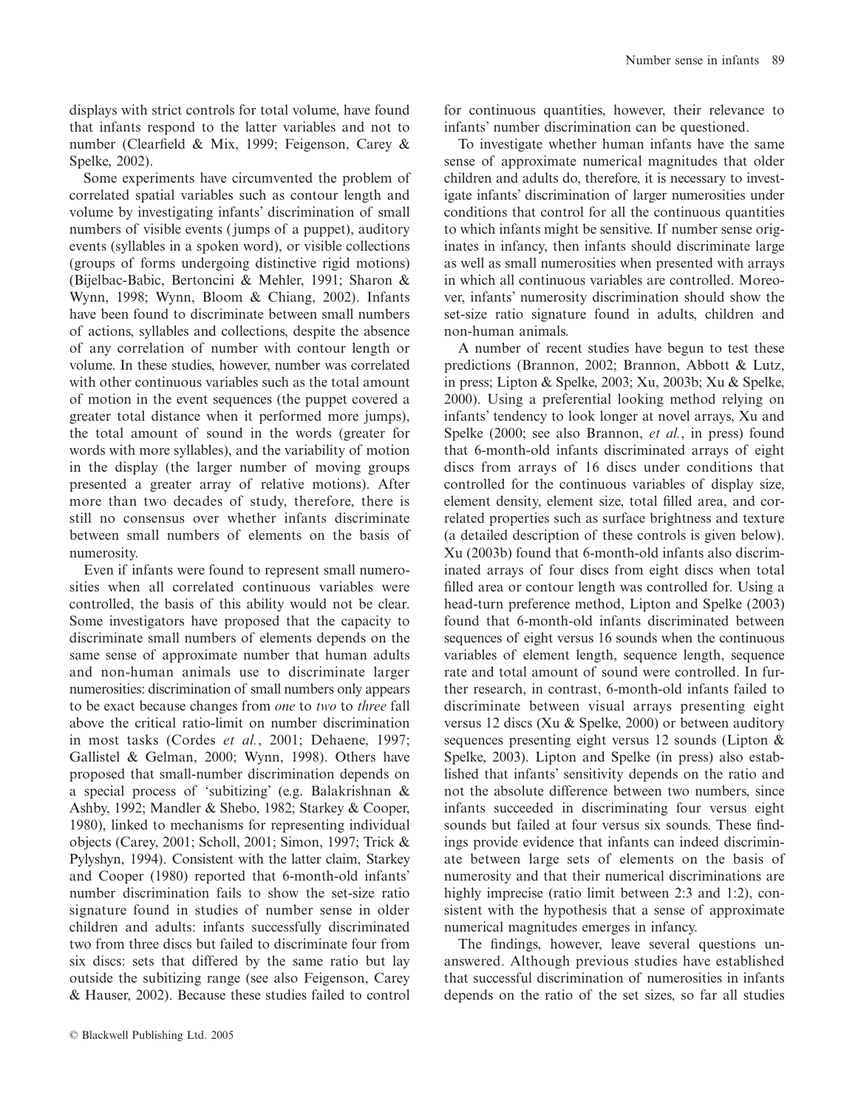displays with strict controls for total volume, have found that infants respond to the latter variables and not to number (Clearfield & Mix, 1999; Feigenson, Carey & Spelke, 2002).

Some experiments have circumvented the problem of correlated spatial variables such as contour length and volume by investigating infants' discrimination of small numbers of visible events (jumps of a puppet), auditory events (syllables in a spoken word), or visible collections (groups of forms undergoing distinctive rigid motions) (Bijelbac-Babic, Bertoncini & Mehler, 1991; Sharon & Wynn, 1998; Wynn, Bloom & Chiang, 2002). Infants have been found to discriminate between small numbers of actions, syllables and collections, despite the absence of any correlation of number with contour length or volume. In these studies, however, number was correlated with other continuous variables such as the total amount of motion in the event sequences (the puppet covered a greater total distance when it performed more jumps), the total amount of sound in the words (greater for words with more syllables), and the variability of motion in the display (the larger number of moving groups presented a greater array of relative motions). After more than two decades of study, therefore, there is still no consensus over whether infants discriminate between small numbers of elements on the basis of numerosity.

Even if infants were found to represent small numerosities when all correlated continuous variables were controlled, the basis of this ability would not be clear. Some investigators have proposed that the capacity to discriminate small numbers of elements depends on the same sense of approximate number that human adults and non-human animals use to discriminate larger numerosities: discrimination of small numbers only appears to be exact because changes from *one* to *two* to *three* fall above the critical ratio-limit on number discrimination in most tasks (Cordes *et al.*, 2001; Dehaene, 1997; Gallistel & Gelman, 2000; Wynn, 1998). Others have proposed that small-number discrimination depends on a special process of 'subitizing' (e.g. Balakrishnan & Ashby, 1992; Mandler & Shebo, 1982; Starkey & Cooper, 1980), linked to mechanisms for representing individual objects (Carey, 2001; Scholl, 2001; Simon, 1997; Trick & Pylyshyn, 1994). Consistent with the latter claim, Starkey and Cooper (1980) reported that 6-month-old infants' number discrimination fails to show the set-size ratio signature found in studies of number sense in older children and adults: infants successfully discriminated two from three discs but failed to discriminate four from six discs: sets that differed by the same ratio but lay outside the subitizing range (see also Feigenson, Carey & Hauser, 2002). Because these studies failed to control for continuous quantities, however, their relevance to infants' number discrimination can be questioned.

To investigate whether human infants have the same sense of approximate numerical magnitudes that older children and adults do, therefore, it is necessary to investigate infants' discrimination of larger numerosities under conditions that control for all the continuous quantities to which infants might be sensitive. If number sense originates in infancy, then infants should discriminate large as well as small numerosities when presented with arrays in which all continuous variables are controlled. Moreover, infants' numerosity discrimination should show the set-size ratio signature found in adults, children and non-human animals.

A number of recent studies have begun to test these predictions (Brannon, 2002; Brannon, Abbott & Lutz, in press; Lipton & Spelke, 2003; Xu, 2003b; Xu & Spelke, 2000). Using a preferential looking method relying on infants' tendency to look longer at novel arrays, Xu and Spelke (2000; see also Brannon, *et al.*, in press) found that 6-month-old infants discriminated arrays of eight discs from arrays of 16 discs under conditions that controlled for the continuous variables of display size, element density, element size, total filled area, and correlated properties such as surface brightness and texture (a detailed description of these controls is given below). Xu (2003b) found that 6-month-old infants also discriminated arrays of four discs from eight discs when total filled area or contour length was controlled for. Using a head-turn preference method, Lipton and Spelke (2003) found that 6-month-old infants discriminated between sequences of eight versus 16 sounds when the continuous variables of element length, sequence length, sequence rate and total amount of sound were controlled. In further research, in contrast, 6-month-old infants failed to discriminate between visual arrays presenting eight versus 12 discs (Xu & Spelke, 2000) or between auditory sequences presenting eight versus 12 sounds (Lipton & Spelke, 2003). Lipton and Spelke (in press) also established that infants' sensitivity depends on the ratio and not the absolute difference between two numbers, since infants succeeded in discriminating four versus eight sounds but failed at four versus six sounds. These findings provide evidence that infants can indeed discriminate between large sets of elements on the basis of numerosity and that their numerical discriminations are highly imprecise (ratio limit between 2:3 and 1:2), consistent with the hypothesis that a sense of approximate numerical magnitudes emerges in infancy.

The findings, however, leave several questions unanswered. Although previous studies have established that successful discrimination of numerosities in infants depends on the ratio of the set sizes, so far all studies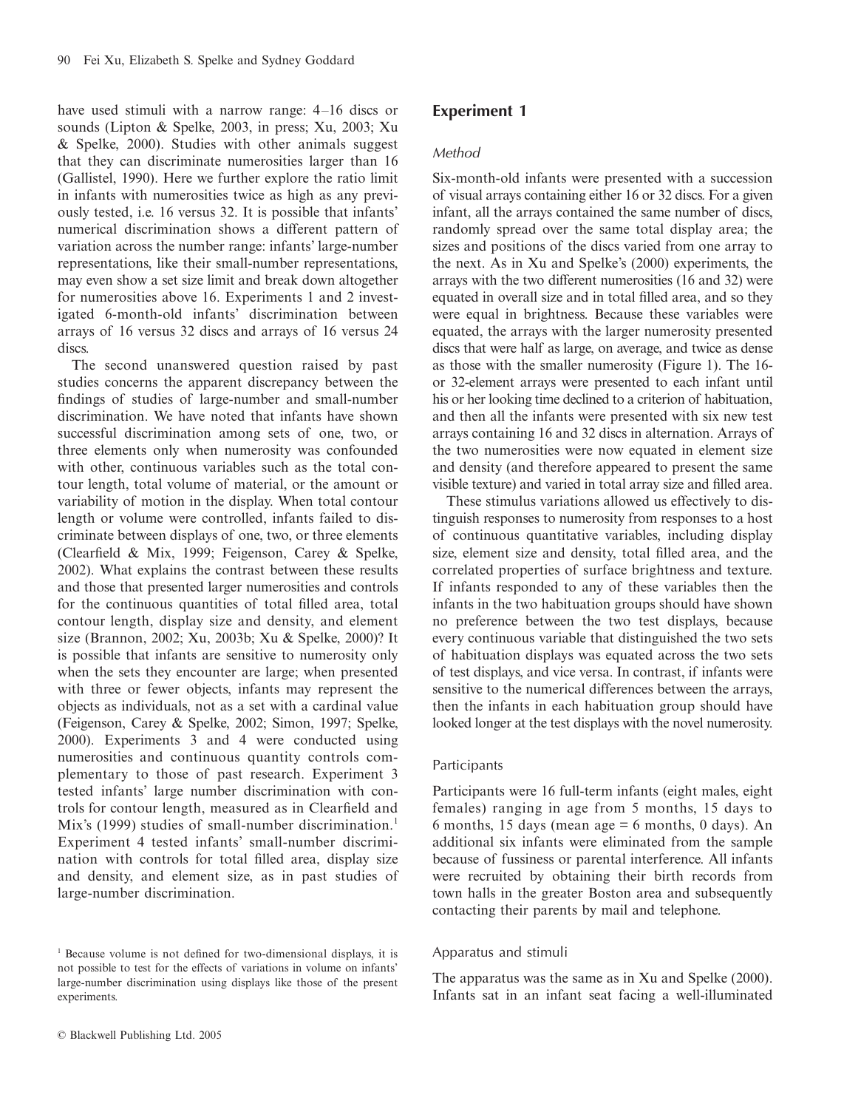have used stimuli with a narrow range: 4–16 discs or sounds (Lipton & Spelke, 2003, in press; Xu, 2003; Xu & Spelke, 2000). Studies with other animals suggest that they can discriminate numerosities larger than 16 (Gallistel, 1990). Here we further explore the ratio limit in infants with numerosities twice as high as any previously tested, i.e. 16 versus 32. It is possible that infants' numerical discrimination shows a different pattern of variation across the number range: infants' large-number representations, like their small-number representations, may even show a set size limit and break down altogether for numerosities above 16. Experiments 1 and 2 investigated 6-month-old infants' discrimination between arrays of 16 versus 32 discs and arrays of 16 versus 24 discs.

The second unanswered question raised by past studies concerns the apparent discrepancy between the findings of studies of large-number and small-number discrimination. We have noted that infants have shown successful discrimination among sets of one, two, or three elements only when numerosity was confounded with other, continuous variables such as the total contour length, total volume of material, or the amount or variability of motion in the display. When total contour length or volume were controlled, infants failed to discriminate between displays of one, two, or three elements (Clearfield & Mix, 1999; Feigenson, Carey & Spelke, 2002). What explains the contrast between these results and those that presented larger numerosities and controls for the continuous quantities of total filled area, total contour length, display size and density, and element size (Brannon, 2002; Xu, 2003b; Xu & Spelke, 2000)? It is possible that infants are sensitive to numerosity only when the sets they encounter are large; when presented with three or fewer objects, infants may represent the objects as individuals, not as a set with a cardinal value (Feigenson, Carey & Spelke, 2002; Simon, 1997; Spelke, 2000). Experiments 3 and 4 were conducted using numerosities and continuous quantity controls complementary to those of past research. Experiment 3 tested infants' large number discrimination with controls for contour length, measured as in Clearfield and Mix's (1999) studies of small-number discrimination.<sup>1</sup> Experiment 4 tested infants' small-number discrimination with controls for total filled area, display size and density, and element size, as in past studies of large-number discrimination.

## **Experiment 1**

#### *Method*

Six-month-old infants were presented with a succession of visual arrays containing either 16 or 32 discs. For a given infant, all the arrays contained the same number of discs, randomly spread over the same total display area; the sizes and positions of the discs varied from one array to the next. As in Xu and Spelke's (2000) experiments, the arrays with the two different numerosities (16 and 32) were equated in overall size and in total filled area, and so they were equal in brightness. Because these variables were equated, the arrays with the larger numerosity presented discs that were half as large, on average, and twice as dense as those with the smaller numerosity (Figure 1). The 16 or 32-element arrays were presented to each infant until his or her looking time declined to a criterion of habituation, and then all the infants were presented with six new test arrays containing 16 and 32 discs in alternation. Arrays of the two numerosities were now equated in element size and density (and therefore appeared to present the same visible texture) and varied in total array size and filled area.

These stimulus variations allowed us effectively to distinguish responses to numerosity from responses to a host of continuous quantitative variables, including display size, element size and density, total filled area, and the correlated properties of surface brightness and texture. If infants responded to any of these variables then the infants in the two habituation groups should have shown no preference between the two test displays, because every continuous variable that distinguished the two sets of habituation displays was equated across the two sets of test displays, and vice versa. In contrast, if infants were sensitive to the numerical differences between the arrays, then the infants in each habituation group should have looked longer at the test displays with the novel numerosity.

#### **Participants**

Participants were 16 full-term infants (eight males, eight females) ranging in age from 5 months, 15 days to 6 months, 15 days (mean age  $= 6$  months, 0 days). An additional six infants were eliminated from the sample because of fussiness or parental interference. All infants were recruited by obtaining their birth records from town halls in the greater Boston area and subsequently contacting their parents by mail and telephone.

### Apparatus and stimuli

The apparatus was the same as in Xu and Spelke (2000). Infants sat in an infant seat facing a well-illuminated

<sup>&</sup>lt;sup>1</sup> Because volume is not defined for two-dimensional displays, it is not possible to test for the effects of variations in volume on infants' large-number discrimination using displays like those of the present experiments.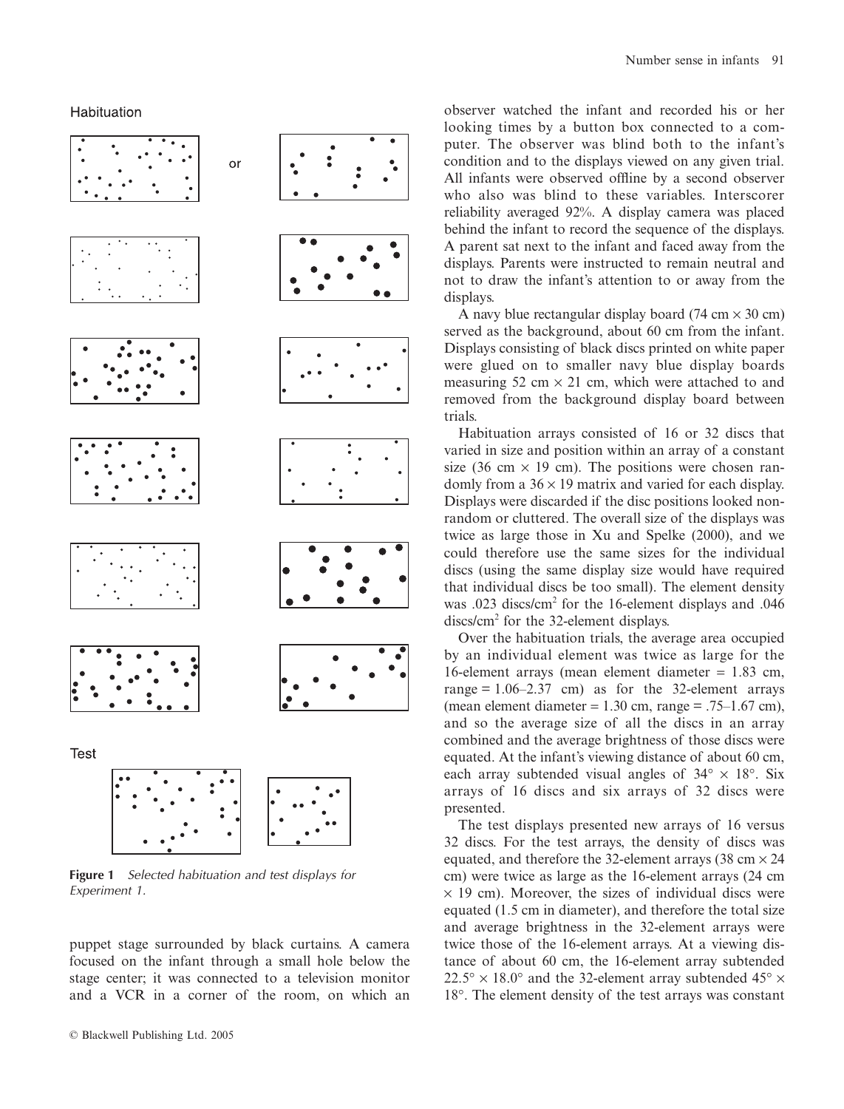Habituation



**Figure 1** *Selected habituation and test displays for Experiment 1.*

puppet stage surrounded by black curtains. A camera focused on the infant through a small hole below the stage center; it was connected to a television monitor and a VCR in a corner of the room, on which an

observer watched the infant and recorded his or her looking times by a button box connected to a computer. The observer was blind both to the infant's condition and to the displays viewed on any given trial. All infants were observed offline by a second observer who also was blind to these variables. Interscorer reliability averaged 92%. A display camera was placed behind the infant to record the sequence of the displays. A parent sat next to the infant and faced away from the displays. Parents were instructed to remain neutral and not to draw the infant's attention to or away from the displays.

A navy blue rectangular display board  $(74 \text{ cm} \times 30 \text{ cm})$ served as the background, about 60 cm from the infant. Displays consisting of black discs printed on white paper were glued on to smaller navy blue display boards measuring 52 cm  $\times$  21 cm, which were attached to and removed from the background display board between trials.

Habituation arrays consisted of 16 or 32 discs that varied in size and position within an array of a constant size (36 cm  $\times$  19 cm). The positions were chosen randomly from a  $36 \times 19$  matrix and varied for each display. Displays were discarded if the disc positions looked nonrandom or cluttered. The overall size of the displays was twice as large those in Xu and Spelke (2000), and we could therefore use the same sizes for the individual discs (using the same display size would have required that individual discs be too small). The element density was .023 discs/cm<sup>2</sup> for the 16-element displays and .046 discs/cm<sup>2</sup> for the 32-element displays.

Over the habituation trials, the average area occupied by an individual element was twice as large for the 16-element arrays (mean element diameter = 1.83 cm, range =  $1.06 - 2.37$  cm) as for the 32-element arrays (mean element diameter  $= 1.30$  cm, range  $= .75-1.67$  cm), and so the average size of all the discs in an array combined and the average brightness of those discs were equated. At the infant's viewing distance of about 60 cm, each array subtended visual angles of  $34^{\circ} \times 18^{\circ}$ . Six arrays of 16 discs and six arrays of 32 discs were presented.

The test displays presented new arrays of 16 versus 32 discs. For the test arrays, the density of discs was equated, and therefore the 32-element arrays (38 cm  $\times$  24 cm) were twice as large as the 16-element arrays (24 cm  $\times$  19 cm). Moreover, the sizes of individual discs were equated (1.5 cm in diameter), and therefore the total size and average brightness in the 32-element arrays were twice those of the 16-element arrays. At a viewing distance of about 60 cm, the 16-element array subtended  $22.5^{\circ} \times 18.0^{\circ}$  and the 32-element array subtended 45°  $\times$ 18°. The element density of the test arrays was constant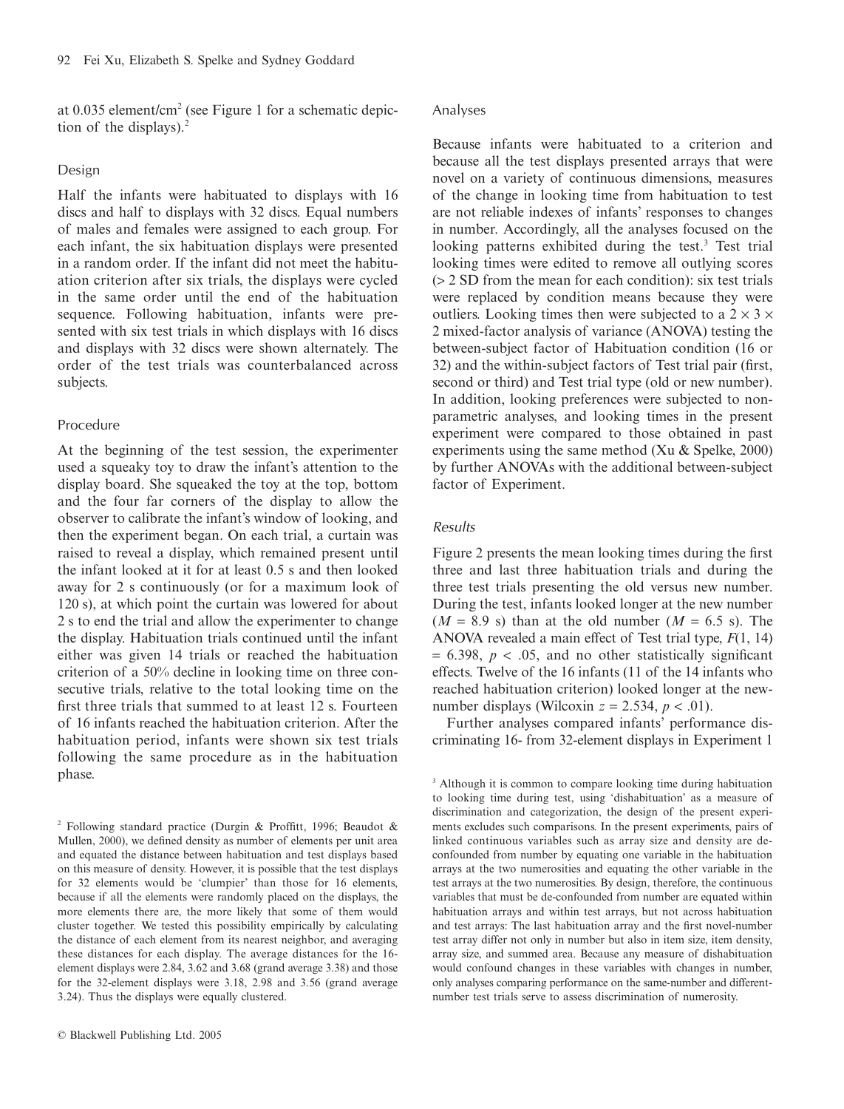at 0.035 element/cm2 (see Figure 1 for a schematic depiction of the displays). $<sup>2</sup>$ </sup>

#### Design

Half the infants were habituated to displays with 16 discs and half to displays with 32 discs. Equal numbers of males and females were assigned to each group. For each infant, the six habituation displays were presented in a random order. If the infant did not meet the habituation criterion after six trials, the displays were cycled in the same order until the end of the habituation sequence. Following habituation, infants were presented with six test trials in which displays with 16 discs and displays with 32 discs were shown alternately. The order of the test trials was counterbalanced across subjects.

## Procedure

At the beginning of the test session, the experimenter used a squeaky toy to draw the infant's attention to the display board. She squeaked the toy at the top, bottom and the four far corners of the display to allow the observer to calibrate the infant's window of looking, and then the experiment began. On each trial, a curtain was raised to reveal a display, which remained present until the infant looked at it for at least 0.5 s and then looked away for 2 s continuously (or for a maximum look of 120 s), at which point the curtain was lowered for about 2 s to end the trial and allow the experimenter to change the display. Habituation trials continued until the infant either was given 14 trials or reached the habituation criterion of a 50% decline in looking time on three consecutive trials, relative to the total looking time on the first three trials that summed to at least 12 s. Fourteen of 16 infants reached the habituation criterion. After the habituation period, infants were shown six test trials following the same procedure as in the habituation phase.

#### Analyses

Because infants were habituated to a criterion and because all the test displays presented arrays that were novel on a variety of continuous dimensions, measures of the change in looking time from habituation to test are not reliable indexes of infants' responses to changes in number. Accordingly, all the analyses focused on the looking patterns exhibited during the test.<sup>3</sup> Test trial looking times were edited to remove all outlying scores (> 2 SD from the mean for each condition): six test trials were replaced by condition means because they were outliers. Looking times then were subjected to a  $2 \times 3 \times$ 2 mixed-factor analysis of variance (ANOVA) testing the between-subject factor of Habituation condition (16 or 32) and the within-subject factors of Test trial pair (first, second or third) and Test trial type (old or new number). In addition, looking preferences were subjected to nonparametric analyses, and looking times in the present experiment were compared to those obtained in past experiments using the same method (Xu  $&$  Spelke, 2000) by further ANOVAs with the additional between-subject factor of Experiment.

## *Results*

Figure 2 presents the mean looking times during the first three and last three habituation trials and during the three test trials presenting the old versus new number. During the test, infants looked longer at the new number  $(M = 8.9 \text{ s})$  than at the old number  $(M = 6.5 \text{ s})$ . The ANOVA revealed a main effect of Test trial type, *F*(1, 14)  $= 6.398$ ,  $p < .05$ , and no other statistically significant effects. Twelve of the 16 infants (11 of the 14 infants who reached habituation criterion) looked longer at the newnumber displays (Wilcoxin  $z = 2.534$ ,  $p < .01$ ).

Further analyses compared infants' performance discriminating 16- from 32-element displays in Experiment 1

<sup>&</sup>lt;sup>2</sup> Following standard practice (Durgin & Proffitt, 1996; Beaudot & Mullen, 2000), we defined density as number of elements per unit area and equated the distance between habituation and test displays based on this measure of density. However, it is possible that the test displays for 32 elements would be 'clumpier' than those for 16 elements, because if all the elements were randomly placed on the displays, the more elements there are, the more likely that some of them would cluster together. We tested this possibility empirically by calculating the distance of each element from its nearest neighbor, and averaging these distances for each display. The average distances for the 16 element displays were 2.84, 3.62 and 3.68 (grand average 3.38) and those for the 32-element displays were 3.18, 2.98 and 3.56 (grand average 3.24). Thus the displays were equally clustered.

<sup>&</sup>lt;sup>3</sup> Although it is common to compare looking time during habituation to looking time during test, using 'dishabituation' as a measure of discrimination and categorization, the design of the present experiments excludes such comparisons. In the present experiments, pairs of linked continuous variables such as array size and density are deconfounded from number by equating one variable in the habituation arrays at the two numerosities and equating the other variable in the test arrays at the two numerosities. By design, therefore, the continuous variables that must be de-confounded from number are equated within habituation arrays and within test arrays, but not across habituation and test arrays: The last habituation array and the first novel-number test array differ not only in number but also in item size, item density, array size, and summed area. Because any measure of dishabituation would confound changes in these variables with changes in number, only analyses comparing performance on the same-number and differentnumber test trials serve to assess discrimination of numerosity.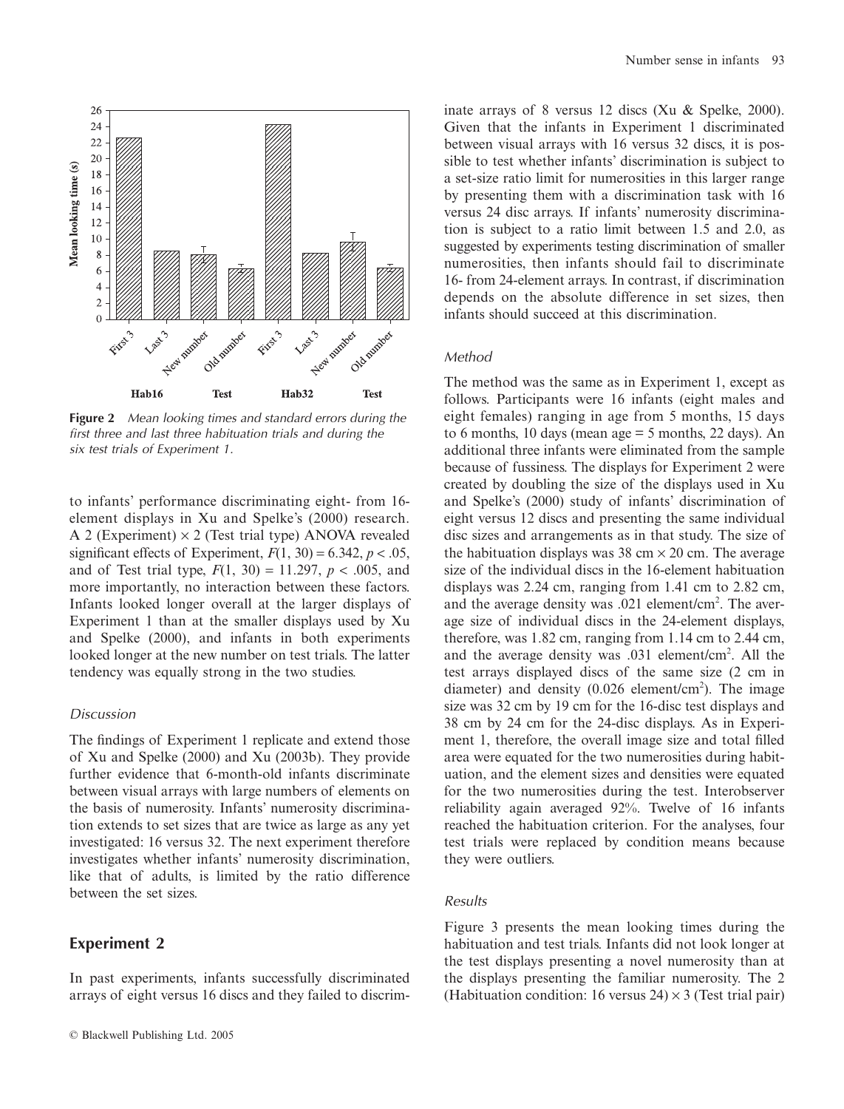

**Figure 2** *Mean looking times and standard errors during the first three and last three habituation trials and during the six test trials of Experiment 1.*

to infants' performance discriminating eight- from 16 element displays in Xu and Spelke's (2000) research. A 2 (Experiment)  $\times$  2 (Test trial type) ANOVA revealed significant effects of Experiment,  $F(1, 30) = 6.342$ ,  $p < .05$ , and of Test trial type,  $F(1, 30) = 11.297$ ,  $p < .005$ , and more importantly, no interaction between these factors. Infants looked longer overall at the larger displays of Experiment 1 than at the smaller displays used by Xu and Spelke (2000), and infants in both experiments looked longer at the new number on test trials. The latter tendency was equally strong in the two studies.

## *Discussion*

The findings of Experiment 1 replicate and extend those of Xu and Spelke (2000) and Xu (2003b). They provide further evidence that 6-month-old infants discriminate between visual arrays with large numbers of elements on the basis of numerosity. Infants' numerosity discrimination extends to set sizes that are twice as large as any yet investigated: 16 versus 32. The next experiment therefore investigates whether infants' numerosity discrimination, like that of adults, is limited by the ratio difference between the set sizes.

# **Experiment 2**

In past experiments, infants successfully discriminated arrays of eight versus 16 discs and they failed to discriminate arrays of 8 versus 12 discs (Xu & Spelke, 2000). Given that the infants in Experiment 1 discriminated between visual arrays with 16 versus 32 discs, it is possible to test whether infants' discrimination is subject to a set-size ratio limit for numerosities in this larger range by presenting them with a discrimination task with 16 versus 24 disc arrays. If infants' numerosity discrimination is subject to a ratio limit between 1.5 and 2.0, as suggested by experiments testing discrimination of smaller numerosities, then infants should fail to discriminate 16- from 24-element arrays. In contrast, if discrimination depends on the absolute difference in set sizes, then infants should succeed at this discrimination.

## *Method*

The method was the same as in Experiment 1, except as follows. Participants were 16 infants (eight males and eight females) ranging in age from 5 months, 15 days to 6 months, 10 days (mean age  $=$  5 months, 22 days). An additional three infants were eliminated from the sample because of fussiness. The displays for Experiment 2 were created by doubling the size of the displays used in Xu and Spelke's (2000) study of infants' discrimination of eight versus 12 discs and presenting the same individual disc sizes and arrangements as in that study. The size of the habituation displays was 38 cm  $\times$  20 cm. The average size of the individual discs in the 16-element habituation displays was 2.24 cm, ranging from 1.41 cm to 2.82 cm, and the average density was .021 element/cm<sup>2</sup>. The average size of individual discs in the 24-element displays, therefore, was 1.82 cm, ranging from 1.14 cm to 2.44 cm, and the average density was .031 element/cm<sup>2</sup>. All the test arrays displayed discs of the same size (2 cm in diameter) and density  $(0.026 \text{ element/cm}^2)$ . The image size was 32 cm by 19 cm for the 16-disc test displays and 38 cm by 24 cm for the 24-disc displays. As in Experiment 1, therefore, the overall image size and total filled area were equated for the two numerosities during habituation, and the element sizes and densities were equated for the two numerosities during the test. Interobserver reliability again averaged 92%. Twelve of 16 infants reached the habituation criterion. For the analyses, four test trials were replaced by condition means because they were outliers.

#### *Results*

Figure 3 presents the mean looking times during the habituation and test trials. Infants did not look longer at the test displays presenting a novel numerosity than at the displays presenting the familiar numerosity. The 2 (Habituation condition: 16 versus  $24 \times 3$  (Test trial pair)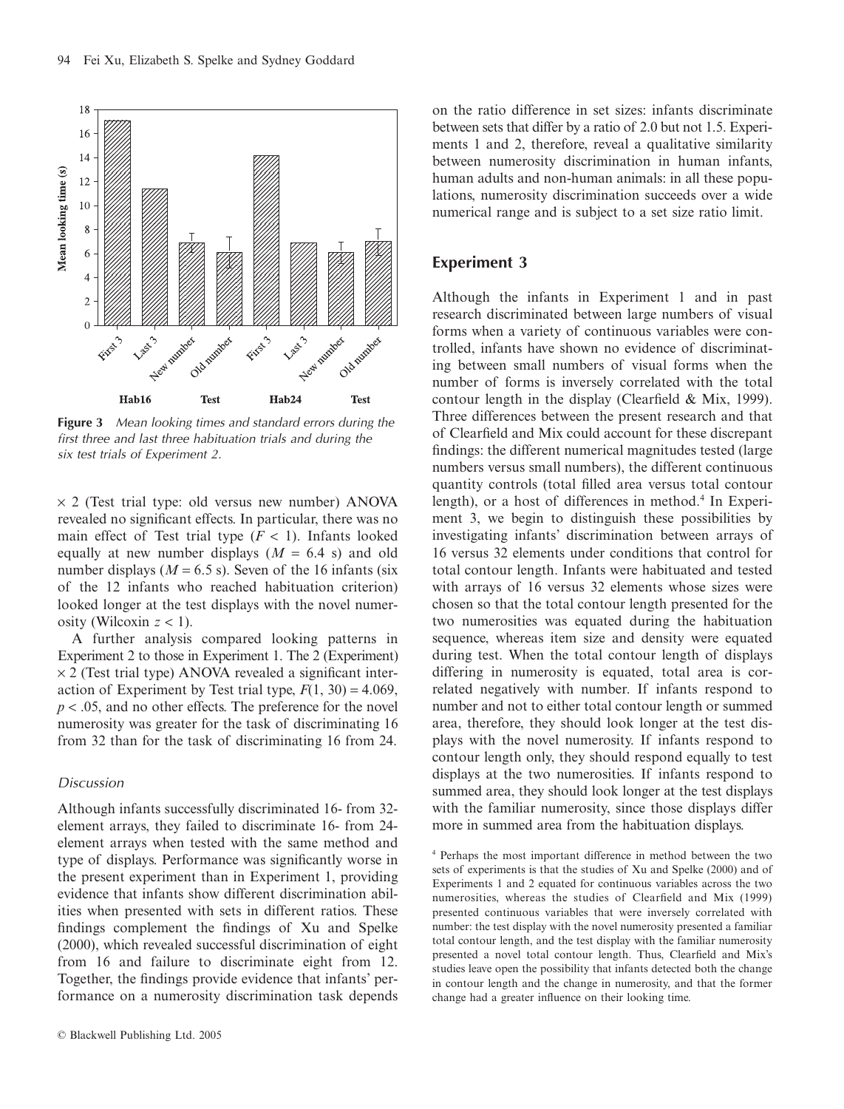

**Figure 3** *Mean looking times and standard errors during the first three and last three habituation trials and during the six test trials of Experiment 2.*

 $\times$  2 (Test trial type: old versus new number) ANOVA revealed no significant effects. In particular, there was no main effect of Test trial type  $(F < 1)$ . Infants looked equally at new number displays  $(M = 6.4 \text{ s})$  and old number displays ( $M = 6.5$  s). Seven of the 16 infants (six of the 12 infants who reached habituation criterion) looked longer at the test displays with the novel numerosity (Wilcoxin  $z < 1$ ).

A further analysis compared looking patterns in Experiment 2 to those in Experiment 1. The 2 (Experiment)  $\times$  2 (Test trial type) ANOVA revealed a significant interaction of Experiment by Test trial type,  $F(1, 30) = 4.069$ , *p* < .05, and no other effects. The preference for the novel numerosity was greater for the task of discriminating 16 from 32 than for the task of discriminating 16 from 24.

### *Discussion*

Although infants successfully discriminated 16- from 32 element arrays, they failed to discriminate 16- from 24 element arrays when tested with the same method and type of displays. Performance was significantly worse in the present experiment than in Experiment 1, providing evidence that infants show different discrimination abilities when presented with sets in different ratios. These findings complement the findings of Xu and Spelke (2000), which revealed successful discrimination of eight from 16 and failure to discriminate eight from 12. Together, the findings provide evidence that infants' performance on a numerosity discrimination task depends

on the ratio difference in set sizes: infants discriminate between sets that differ by a ratio of 2.0 but not 1.5. Experiments 1 and 2, therefore, reveal a qualitative similarity between numerosity discrimination in human infants, human adults and non-human animals: in all these populations, numerosity discrimination succeeds over a wide numerical range and is subject to a set size ratio limit.

# **Experiment 3**

Although the infants in Experiment 1 and in past research discriminated between large numbers of visual forms when a variety of continuous variables were controlled, infants have shown no evidence of discriminating between small numbers of visual forms when the number of forms is inversely correlated with the total contour length in the display (Clearfield & Mix, 1999). Three differences between the present research and that of Clearfield and Mix could account for these discrepant findings: the different numerical magnitudes tested (large numbers versus small numbers), the different continuous quantity controls (total filled area versus total contour length), or a host of differences in method.<sup>4</sup> In Experiment 3, we begin to distinguish these possibilities by investigating infants' discrimination between arrays of 16 versus 32 elements under conditions that control for total contour length. Infants were habituated and tested with arrays of 16 versus 32 elements whose sizes were chosen so that the total contour length presented for the two numerosities was equated during the habituation sequence, whereas item size and density were equated during test. When the total contour length of displays differing in numerosity is equated, total area is correlated negatively with number. If infants respond to number and not to either total contour length or summed area, therefore, they should look longer at the test displays with the novel numerosity. If infants respond to contour length only, they should respond equally to test displays at the two numerosities. If infants respond to summed area, they should look longer at the test displays with the familiar numerosity, since those displays differ more in summed area from the habituation displays.

<sup>4</sup> Perhaps the most important difference in method between the two sets of experiments is that the studies of Xu and Spelke (2000) and of Experiments 1 and 2 equated for continuous variables across the two numerosities, whereas the studies of Clearfield and Mix (1999) presented continuous variables that were inversely correlated with number: the test display with the novel numerosity presented a familiar total contour length, and the test display with the familiar numerosity presented a novel total contour length. Thus, Clearfield and Mix's studies leave open the possibility that infants detected both the change in contour length and the change in numerosity, and that the former change had a greater influence on their looking time.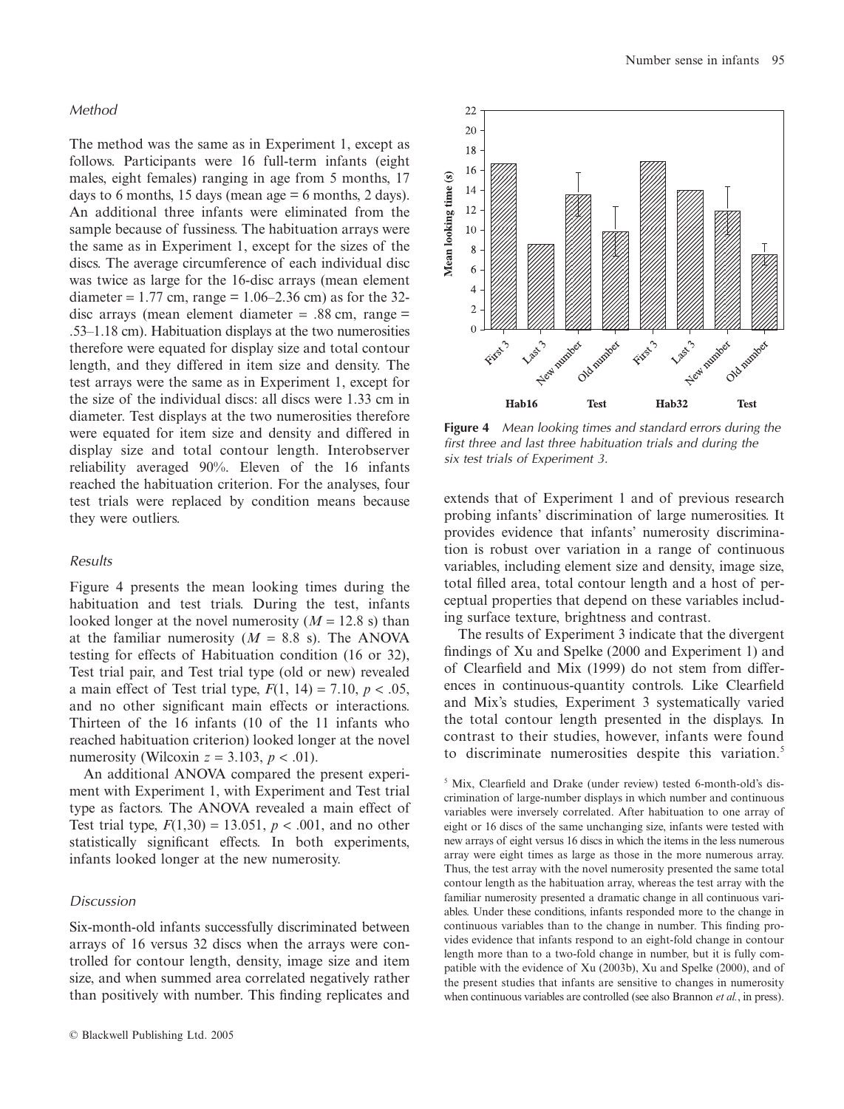#### *Method*

The method was the same as in Experiment 1, except as follows. Participants were 16 full-term infants (eight males, eight females) ranging in age from 5 months, 17 days to 6 months, 15 days (mean age  $= 6$  months, 2 days). An additional three infants were eliminated from the sample because of fussiness. The habituation arrays were the same as in Experiment 1, except for the sizes of the discs. The average circumference of each individual disc was twice as large for the 16-disc arrays (mean element diameter = 1.77 cm, range =  $1.06-2.36$  cm) as for the 32disc arrays (mean element diameter  $= .88$  cm, range  $=$ .53–1.18 cm). Habituation displays at the two numerosities therefore were equated for display size and total contour length, and they differed in item size and density. The test arrays were the same as in Experiment 1, except for the size of the individual discs: all discs were 1.33 cm in diameter. Test displays at the two numerosities therefore were equated for item size and density and differed in display size and total contour length. Interobserver reliability averaged 90%. Eleven of the 16 infants reached the habituation criterion. For the analyses, four test trials were replaced by condition means because they were outliers.

## *Results*

Figure 4 presents the mean looking times during the habituation and test trials. During the test, infants looked longer at the novel numerosity  $(M = 12.8 \text{ s})$  than at the familiar numerosity  $(M = 8.8 \text{ s})$ . The ANOVA testing for effects of Habituation condition (16 or 32), Test trial pair, and Test trial type (old or new) revealed a main effect of Test trial type,  $F(1, 14) = 7.10$ ,  $p < .05$ , and no other significant main effects or interactions. Thirteen of the 16 infants (10 of the 11 infants who reached habituation criterion) looked longer at the novel numerosity (Wilcoxin  $z = 3.103$ ,  $p < .01$ ).

An additional ANOVA compared the present experiment with Experiment 1, with Experiment and Test trial type as factors. The ANOVA revealed a main effect of Test trial type,  $F(1,30) = 13.051$ ,  $p < .001$ , and no other statistically significant effects. In both experiments, infants looked longer at the new numerosity.

#### *Discussion*

Six-month-old infants successfully discriminated between arrays of 16 versus 32 discs when the arrays were controlled for contour length, density, image size and item size, and when summed area correlated negatively rather than positively with number. This finding replicates and



**Figure 4** *Mean looking times and standard errors during the first three and last three habituation trials and during the six test trials of Experiment 3.*

extends that of Experiment 1 and of previous research probing infants' discrimination of large numerosities. It provides evidence that infants' numerosity discrimination is robust over variation in a range of continuous variables, including element size and density, image size, total filled area, total contour length and a host of perceptual properties that depend on these variables including surface texture, brightness and contrast.

The results of Experiment 3 indicate that the divergent findings of Xu and Spelke (2000 and Experiment 1) and of Clearfield and Mix (1999) do not stem from differences in continuous-quantity controls. Like Clearfield and Mix's studies, Experiment 3 systematically varied the total contour length presented in the displays. In contrast to their studies, however, infants were found to discriminate numerosities despite this variation.<sup>5</sup>

<sup>5</sup> Mix, Clearfield and Drake (under review) tested 6-month-old's discrimination of large-number displays in which number and continuous variables were inversely correlated. After habituation to one array of eight or 16 discs of the same unchanging size, infants were tested with new arrays of eight versus 16 discs in which the items in the less numerous array were eight times as large as those in the more numerous array. Thus, the test array with the novel numerosity presented the same total contour length as the habituation array, whereas the test array with the familiar numerosity presented a dramatic change in all continuous variables. Under these conditions, infants responded more to the change in continuous variables than to the change in number. This finding provides evidence that infants respond to an eight-fold change in contour length more than to a two-fold change in number, but it is fully compatible with the evidence of Xu (2003b), Xu and Spelke (2000), and of the present studies that infants are sensitive to changes in numerosity when continuous variables are controlled (see also Brannon *et al.*, in press).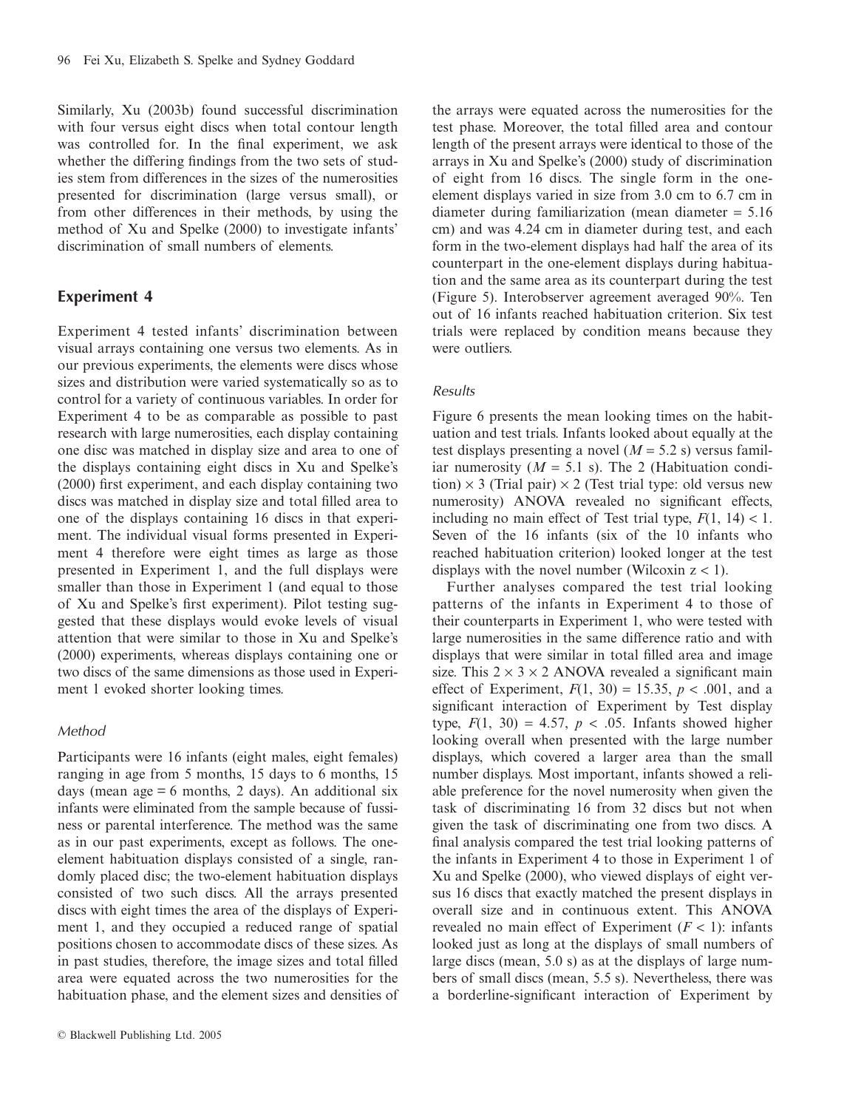Similarly, Xu (2003b) found successful discrimination with four versus eight discs when total contour length was controlled for. In the final experiment, we ask whether the differing findings from the two sets of studies stem from differences in the sizes of the numerosities presented for discrimination (large versus small), or from other differences in their methods, by using the method of Xu and Spelke (2000) to investigate infants' discrimination of small numbers of elements.

# **Experiment 4**

Experiment 4 tested infants' discrimination between visual arrays containing one versus two elements. As in our previous experiments, the elements were discs whose sizes and distribution were varied systematically so as to control for a variety of continuous variables. In order for Experiment 4 to be as comparable as possible to past research with large numerosities, each display containing one disc was matched in display size and area to one of the displays containing eight discs in Xu and Spelke's (2000) first experiment, and each display containing two discs was matched in display size and total filled area to one of the displays containing 16 discs in that experiment. The individual visual forms presented in Experiment 4 therefore were eight times as large as those presented in Experiment 1, and the full displays were smaller than those in Experiment 1 (and equal to those of Xu and Spelke's first experiment). Pilot testing suggested that these displays would evoke levels of visual attention that were similar to those in Xu and Spelke's (2000) experiments, whereas displays containing one or two discs of the same dimensions as those used in Experiment 1 evoked shorter looking times.

## *Method*

Participants were 16 infants (eight males, eight females) ranging in age from 5 months, 15 days to 6 months, 15 days (mean age  $= 6$  months, 2 days). An additional six infants were eliminated from the sample because of fussiness or parental interference. The method was the same as in our past experiments, except as follows. The oneelement habituation displays consisted of a single, randomly placed disc; the two-element habituation displays consisted of two such discs. All the arrays presented discs with eight times the area of the displays of Experiment 1, and they occupied a reduced range of spatial positions chosen to accommodate discs of these sizes. As in past studies, therefore, the image sizes and total filled area were equated across the two numerosities for the habituation phase, and the element sizes and densities of

the arrays were equated across the numerosities for the test phase. Moreover, the total filled area and contour length of the present arrays were identical to those of the arrays in Xu and Spelke's (2000) study of discrimination of eight from 16 discs. The single form in the oneelement displays varied in size from 3.0 cm to 6.7 cm in diameter during familiarization (mean diameter = 5.16 cm) and was 4.24 cm in diameter during test, and each form in the two-element displays had half the area of its counterpart in the one-element displays during habituation and the same area as its counterpart during the test (Figure 5). Interobserver agreement averaged 90%. Ten out of 16 infants reached habituation criterion. Six test trials were replaced by condition means because they were outliers.

#### *Results*

Figure 6 presents the mean looking times on the habituation and test trials. Infants looked about equally at the test displays presenting a novel  $(M = 5.2 \text{ s})$  versus familiar numerosity  $(M = 5.1 \text{ s})$ . The 2 (Habituation condition)  $\times$  3 (Trial pair)  $\times$  2 (Test trial type: old versus new numerosity) ANOVA revealed no significant effects, including no main effect of Test trial type,  $F(1, 14) < 1$ . Seven of the 16 infants (six of the 10 infants who reached habituation criterion) looked longer at the test displays with the novel number (Wilcoxin  $z < 1$ ).

Further analyses compared the test trial looking patterns of the infants in Experiment 4 to those of their counterparts in Experiment 1, who were tested with large numerosities in the same difference ratio and with displays that were similar in total filled area and image size. This  $2 \times 3 \times 2$  ANOVA revealed a significant main effect of Experiment,  $F(1, 30) = 15.35$ ,  $p < .001$ , and a significant interaction of Experiment by Test display type,  $F(1, 30) = 4.57$ ,  $p < .05$ . Infants showed higher looking overall when presented with the large number displays, which covered a larger area than the small number displays. Most important, infants showed a reliable preference for the novel numerosity when given the task of discriminating 16 from 32 discs but not when given the task of discriminating one from two discs. A final analysis compared the test trial looking patterns of the infants in Experiment 4 to those in Experiment 1 of Xu and Spelke (2000), who viewed displays of eight versus 16 discs that exactly matched the present displays in overall size and in continuous extent. This ANOVA revealed no main effect of Experiment  $(F < 1)$ : infants looked just as long at the displays of small numbers of large discs (mean, 5.0 s) as at the displays of large numbers of small discs (mean, 5.5 s). Nevertheless, there was a borderline-significant interaction of Experiment by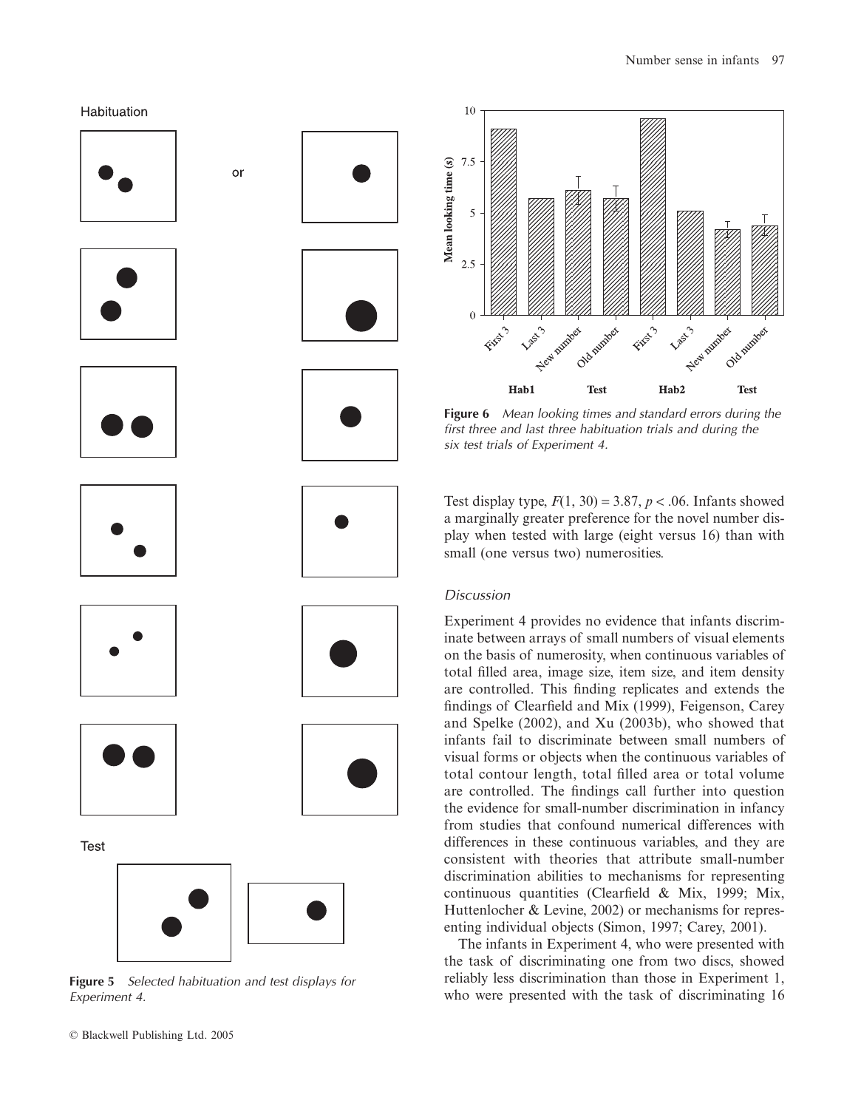Habituation









or











**Test** 



**Figure 5** *Selected habituation and test displays for Experiment 4.*



**Figure 6** *Mean looking times and standard errors during the first three and last three habituation trials and during the six test trials of Experiment 4.*

Test display type,  $F(1, 30) = 3.87$ ,  $p < .06$ . Infants showed a marginally greater preference for the novel number display when tested with large (eight versus 16) than with small (one versus two) numerosities.

## *Discussion*

Experiment 4 provides no evidence that infants discriminate between arrays of small numbers of visual elements on the basis of numerosity, when continuous variables of total filled area, image size, item size, and item density are controlled. This finding replicates and extends the findings of Clearfield and Mix (1999), Feigenson, Carey and Spelke (2002), and Xu (2003b), who showed that infants fail to discriminate between small numbers of visual forms or objects when the continuous variables of total contour length, total filled area or total volume are controlled. The findings call further into question the evidence for small-number discrimination in infancy from studies that confound numerical differences with differences in these continuous variables, and they are consistent with theories that attribute small-number discrimination abilities to mechanisms for representing continuous quantities (Clearfield & Mix, 1999; Mix, Huttenlocher & Levine, 2002) or mechanisms for representing individual objects (Simon, 1997; Carey, 2001).

The infants in Experiment 4, who were presented with the task of discriminating one from two discs, showed reliably less discrimination than those in Experiment 1, who were presented with the task of discriminating 16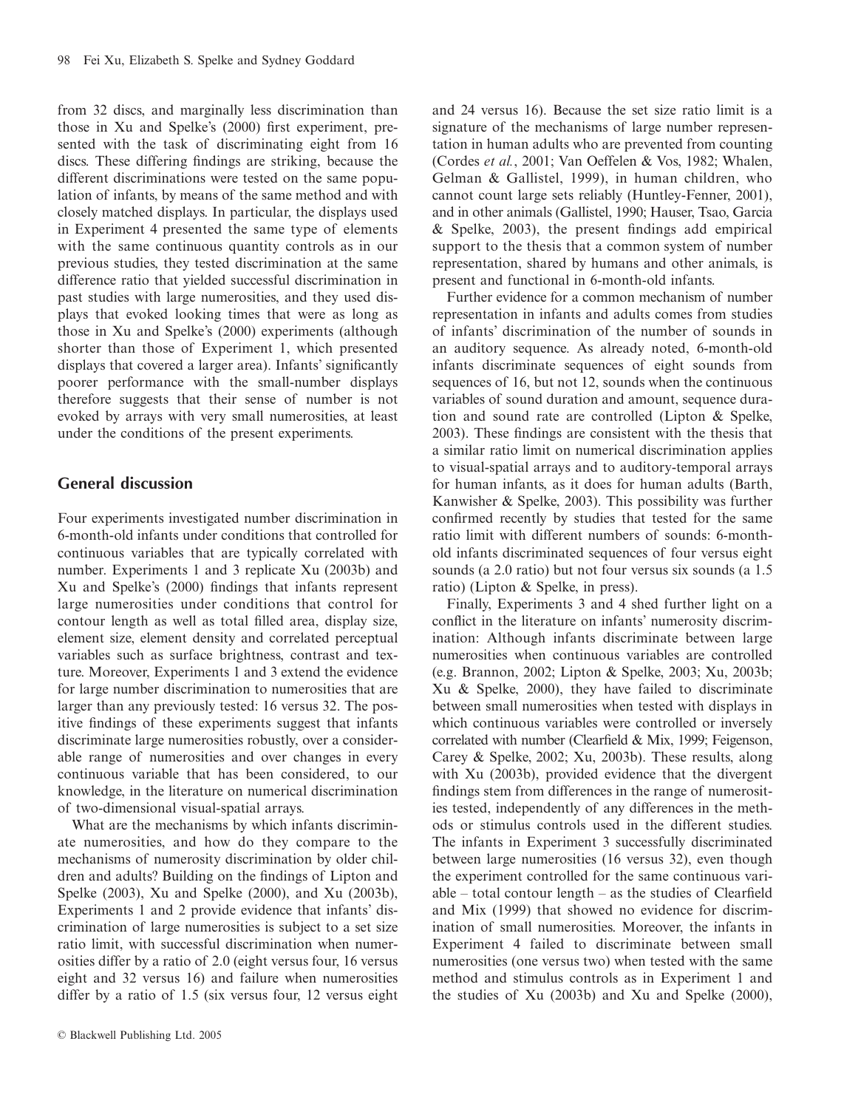from 32 discs, and marginally less discrimination than those in Xu and Spelke's (2000) first experiment, presented with the task of discriminating eight from 16 discs. These differing findings are striking, because the different discriminations were tested on the same population of infants, by means of the same method and with closely matched displays. In particular, the displays used in Experiment 4 presented the same type of elements with the same continuous quantity controls as in our previous studies, they tested discrimination at the same difference ratio that yielded successful discrimination in past studies with large numerosities, and they used displays that evoked looking times that were as long as those in Xu and Spelke's (2000) experiments (although shorter than those of Experiment 1, which presented displays that covered a larger area). Infants' significantly poorer performance with the small-number displays therefore suggests that their sense of number is not evoked by arrays with very small numerosities, at least under the conditions of the present experiments.

# **General discussion**

Four experiments investigated number discrimination in 6-month-old infants under conditions that controlled for continuous variables that are typically correlated with number. Experiments 1 and 3 replicate Xu (2003b) and Xu and Spelke's (2000) findings that infants represent large numerosities under conditions that control for contour length as well as total filled area, display size, element size, element density and correlated perceptual variables such as surface brightness, contrast and texture. Moreover, Experiments 1 and 3 extend the evidence for large number discrimination to numerosities that are larger than any previously tested: 16 versus 32. The positive findings of these experiments suggest that infants discriminate large numerosities robustly, over a considerable range of numerosities and over changes in every continuous variable that has been considered, to our knowledge, in the literature on numerical discrimination of two-dimensional visual-spatial arrays.

What are the mechanisms by which infants discriminate numerosities, and how do they compare to the mechanisms of numerosity discrimination by older children and adults? Building on the findings of Lipton and Spelke (2003), Xu and Spelke (2000), and Xu (2003b), Experiments 1 and 2 provide evidence that infants' discrimination of large numerosities is subject to a set size ratio limit, with successful discrimination when numerosities differ by a ratio of 2.0 (eight versus four, 16 versus eight and 32 versus 16) and failure when numerosities differ by a ratio of 1.5 (six versus four, 12 versus eight and 24 versus 16). Because the set size ratio limit is a signature of the mechanisms of large number representation in human adults who are prevented from counting (Cordes *et al.*, 2001; Van Oeffelen & Vos, 1982; Whalen, Gelman & Gallistel, 1999), in human children, who cannot count large sets reliably (Huntley-Fenner, 2001), and in other animals (Gallistel, 1990; Hauser, Tsao, Garcia & Spelke, 2003), the present findings add empirical support to the thesis that a common system of number representation, shared by humans and other animals, is present and functional in 6-month-old infants.

Further evidence for a common mechanism of number representation in infants and adults comes from studies of infants' discrimination of the number of sounds in an auditory sequence. As already noted, 6-month-old infants discriminate sequences of eight sounds from sequences of 16, but not 12, sounds when the continuous variables of sound duration and amount, sequence duration and sound rate are controlled (Lipton & Spelke, 2003). These findings are consistent with the thesis that a similar ratio limit on numerical discrimination applies to visual-spatial arrays and to auditory-temporal arrays for human infants, as it does for human adults (Barth, Kanwisher & Spelke, 2003). This possibility was further confirmed recently by studies that tested for the same ratio limit with different numbers of sounds: 6-monthold infants discriminated sequences of four versus eight sounds (a 2.0 ratio) but not four versus six sounds (a 1.5 ratio) (Lipton & Spelke, in press).

Finally, Experiments 3 and 4 shed further light on a conflict in the literature on infants' numerosity discrimination: Although infants discriminate between large numerosities when continuous variables are controlled (e.g. Brannon, 2002; Lipton & Spelke, 2003; Xu, 2003b; Xu & Spelke, 2000), they have failed to discriminate between small numerosities when tested with displays in which continuous variables were controlled or inversely correlated with number (Clearfield & Mix, 1999; Feigenson, Carey & Spelke, 2002; Xu, 2003b). These results, along with Xu (2003b), provided evidence that the divergent findings stem from differences in the range of numerosities tested, independently of any differences in the methods or stimulus controls used in the different studies. The infants in Experiment 3 successfully discriminated between large numerosities (16 versus 32), even though the experiment controlled for the same continuous variable – total contour length – as the studies of Clearfield and Mix (1999) that showed no evidence for discrimination of small numerosities. Moreover, the infants in Experiment 4 failed to discriminate between small numerosities (one versus two) when tested with the same method and stimulus controls as in Experiment 1 and the studies of Xu (2003b) and Xu and Spelke (2000),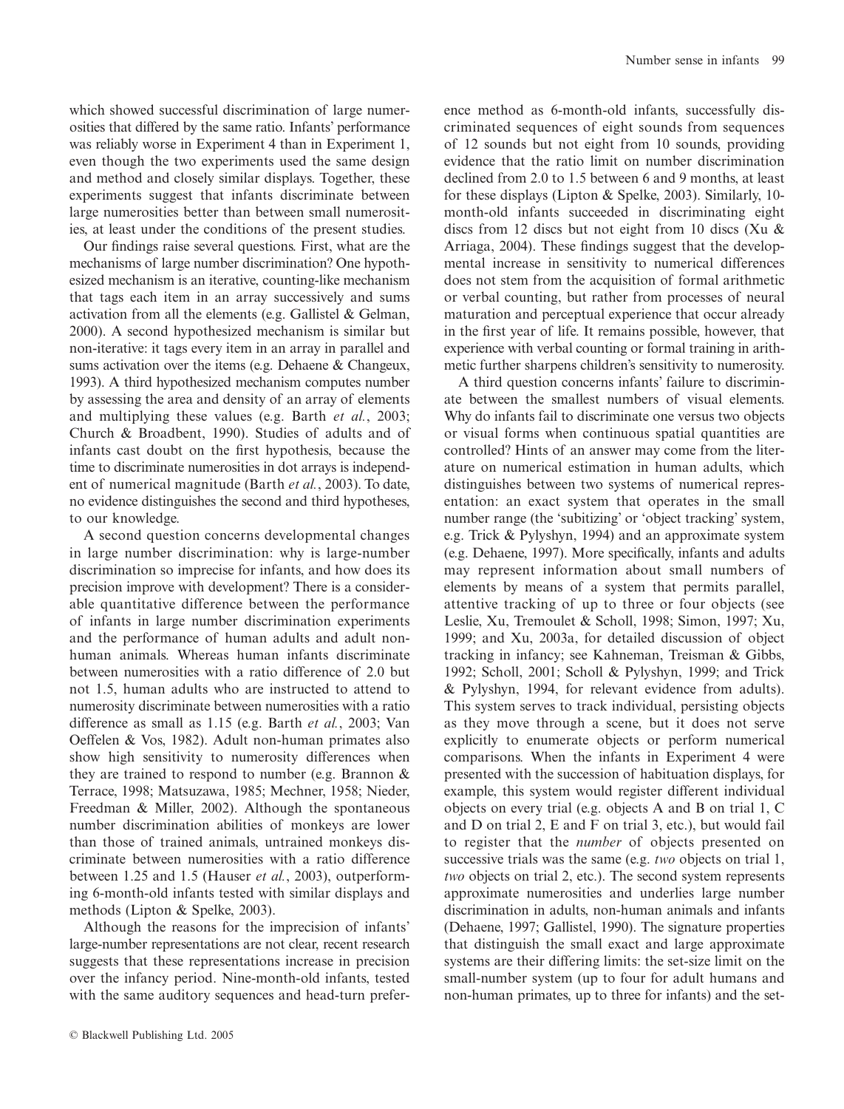which showed successful discrimination of large numerosities that differed by the same ratio. Infants' performance was reliably worse in Experiment 4 than in Experiment 1, even though the two experiments used the same design and method and closely similar displays. Together, these experiments suggest that infants discriminate between large numerosities better than between small numerosities, at least under the conditions of the present studies.

Our findings raise several questions. First, what are the mechanisms of large number discrimination? One hypothesized mechanism is an iterative, counting-like mechanism that tags each item in an array successively and sums activation from all the elements (e.g. Gallistel & Gelman, 2000). A second hypothesized mechanism is similar but non-iterative: it tags every item in an array in parallel and sums activation over the items (e.g. Dehaene & Changeux, 1993). A third hypothesized mechanism computes number by assessing the area and density of an array of elements and multiplying these values (e.g. Barth *et al.*, 2003; Church & Broadbent, 1990). Studies of adults and of infants cast doubt on the first hypothesis, because the time to discriminate numerosities in dot arrays is independent of numerical magnitude (Barth *et al.*, 2003). To date, no evidence distinguishes the second and third hypotheses, to our knowledge.

A second question concerns developmental changes in large number discrimination: why is large-number discrimination so imprecise for infants, and how does its precision improve with development? There is a considerable quantitative difference between the performance of infants in large number discrimination experiments and the performance of human adults and adult nonhuman animals. Whereas human infants discriminate between numerosities with a ratio difference of 2.0 but not 1.5, human adults who are instructed to attend to numerosity discriminate between numerosities with a ratio difference as small as 1.15 (e.g. Barth *et al.*, 2003; Van Oeffelen & Vos, 1982). Adult non-human primates also show high sensitivity to numerosity differences when they are trained to respond to number (e.g. Brannon & Terrace, 1998; Matsuzawa, 1985; Mechner, 1958; Nieder, Freedman & Miller, 2002). Although the spontaneous number discrimination abilities of monkeys are lower than those of trained animals, untrained monkeys discriminate between numerosities with a ratio difference between 1.25 and 1.5 (Hauser *et al.*, 2003), outperforming 6-month-old infants tested with similar displays and methods (Lipton & Spelke, 2003).

Although the reasons for the imprecision of infants' large-number representations are not clear, recent research suggests that these representations increase in precision over the infancy period. Nine-month-old infants, tested with the same auditory sequences and head-turn preference method as 6-month-old infants, successfully discriminated sequences of eight sounds from sequences of 12 sounds but not eight from 10 sounds, providing evidence that the ratio limit on number discrimination declined from 2.0 to 1.5 between 6 and 9 months, at least for these displays (Lipton & Spelke, 2003). Similarly, 10 month-old infants succeeded in discriminating eight discs from 12 discs but not eight from 10 discs (Xu & Arriaga, 2004). These findings suggest that the developmental increase in sensitivity to numerical differences does not stem from the acquisition of formal arithmetic or verbal counting, but rather from processes of neural maturation and perceptual experience that occur already in the first year of life. It remains possible, however, that experience with verbal counting or formal training in arithmetic further sharpens children's sensitivity to numerosity.

A third question concerns infants' failure to discriminate between the smallest numbers of visual elements. Why do infants fail to discriminate one versus two objects or visual forms when continuous spatial quantities are controlled? Hints of an answer may come from the literature on numerical estimation in human adults, which distinguishes between two systems of numerical representation: an exact system that operates in the small number range (the 'subitizing' or 'object tracking' system, e.g. Trick & Pylyshyn, 1994) and an approximate system (e.g. Dehaene, 1997). More specifically, infants and adults may represent information about small numbers of elements by means of a system that permits parallel, attentive tracking of up to three or four objects (see Leslie, Xu, Tremoulet & Scholl, 1998; Simon, 1997; Xu, 1999; and Xu, 2003a, for detailed discussion of object tracking in infancy; see Kahneman, Treisman & Gibbs, 1992; Scholl, 2001; Scholl & Pylyshyn, 1999; and Trick & Pylyshyn, 1994, for relevant evidence from adults). This system serves to track individual, persisting objects as they move through a scene, but it does not serve explicitly to enumerate objects or perform numerical comparisons. When the infants in Experiment 4 were presented with the succession of habituation displays, for example, this system would register different individual objects on every trial (e.g. objects A and B on trial 1, C and D on trial 2, E and F on trial 3, etc.), but would fail to register that the *number* of objects presented on successive trials was the same (e.g. *two* objects on trial 1, *two* objects on trial 2, etc.). The second system represents approximate numerosities and underlies large number discrimination in adults, non-human animals and infants (Dehaene, 1997; Gallistel, 1990). The signature properties that distinguish the small exact and large approximate systems are their differing limits: the set-size limit on the small-number system (up to four for adult humans and non-human primates, up to three for infants) and the set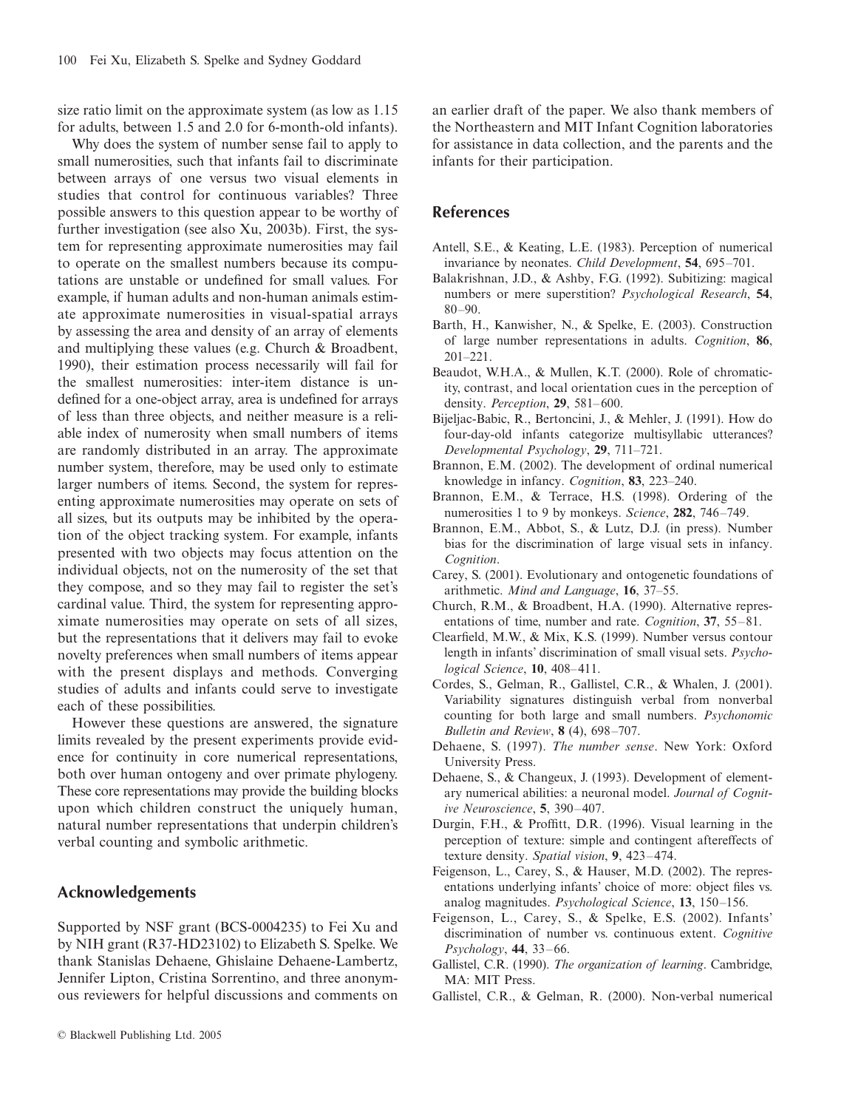size ratio limit on the approximate system (as low as 1.15 for adults, between 1.5 and 2.0 for 6-month-old infants).

Why does the system of number sense fail to apply to small numerosities, such that infants fail to discriminate between arrays of one versus two visual elements in studies that control for continuous variables? Three possible answers to this question appear to be worthy of further investigation (see also Xu, 2003b). First, the system for representing approximate numerosities may fail to operate on the smallest numbers because its computations are unstable or undefined for small values. For example, if human adults and non-human animals estimate approximate numerosities in visual-spatial arrays by assessing the area and density of an array of elements and multiplying these values (e.g. Church & Broadbent, 1990), their estimation process necessarily will fail for the smallest numerosities: inter-item distance is undefined for a one-object array, area is undefined for arrays of less than three objects, and neither measure is a reliable index of numerosity when small numbers of items are randomly distributed in an array. The approximate number system, therefore, may be used only to estimate larger numbers of items. Second, the system for representing approximate numerosities may operate on sets of all sizes, but its outputs may be inhibited by the operation of the object tracking system. For example, infants presented with two objects may focus attention on the individual objects, not on the numerosity of the set that they compose, and so they may fail to register the set's cardinal value. Third, the system for representing approximate numerosities may operate on sets of all sizes, but the representations that it delivers may fail to evoke novelty preferences when small numbers of items appear with the present displays and methods. Converging studies of adults and infants could serve to investigate each of these possibilities.

However these questions are answered, the signature limits revealed by the present experiments provide evidence for continuity in core numerical representations, both over human ontogeny and over primate phylogeny. These core representations may provide the building blocks upon which children construct the uniquely human, natural number representations that underpin children's verbal counting and symbolic arithmetic.

## **Acknowledgements**

Supported by NSF grant (BCS-0004235) to Fei Xu and by NIH grant (R37-HD23102) to Elizabeth S. Spelke. We thank Stanislas Dehaene, Ghislaine Dehaene-Lambertz, Jennifer Lipton, Cristina Sorrentino, and three anonymous reviewers for helpful discussions and comments on an earlier draft of the paper. We also thank members of the Northeastern and MIT Infant Cognition laboratories for assistance in data collection, and the parents and the infants for their participation.

# **References**

- Antell, S.E., & Keating, L.E. (1983). Perception of numerical invariance by neonates. *Child Development*, **54**, 695–701.
- Balakrishnan, J.D., & Ashby, F.G. (1992). Subitizing: magical numbers or mere superstition? *Psychological Research*, **54**, 80–90.
- Barth, H., Kanwisher, N., & Spelke, E. (2003). Construction of large number representations in adults. *Cognition*, **86**, 201–221.
- Beaudot, W.H.A., & Mullen, K.T. (2000). Role of chromaticity, contrast, and local orientation cues in the perception of density. *Perception*, **29**, 581–600.
- Bijeljac-Babic, R., Bertoncini, J., & Mehler, J. (1991). How do four-day-old infants categorize multisyllabic utterances? *Developmental Psychology*, **29**, 711–721.
- Brannon, E.M. (2002). The development of ordinal numerical knowledge in infancy. *Cognition*, **83**, 223–240.
- Brannon, E.M., & Terrace, H.S. (1998). Ordering of the numerosities 1 to 9 by monkeys. *Science*, **282**, 746–749.
- Brannon, E.M., Abbot, S., & Lutz, D.J. (in press). Number bias for the discrimination of large visual sets in infancy. *Cognition*.
- Carey, S. (2001). Evolutionary and ontogenetic foundations of arithmetic. *Mind and Language*, **16**, 37–55.
- Church, R.M., & Broadbent, H.A. (1990). Alternative representations of time, number and rate. *Cognition*, **37**, 55–81.
- Clearfield, M.W., & Mix, K.S. (1999). Number versus contour length in infants' discrimination of small visual sets. *Psychological Science*, **10**, 408–411.
- Cordes, S., Gelman, R., Gallistel, C.R., & Whalen, J. (2001). Variability signatures distinguish verbal from nonverbal counting for both large and small numbers. *Psychonomic Bulletin and Review*, **8** (4), 698–707.
- Dehaene, S. (1997). *The number sense*. New York: Oxford University Press.
- Dehaene, S., & Changeux, J. (1993). Development of elementary numerical abilities: a neuronal model. *Journal of Cognitive Neuroscience*, **5**, 390–407.
- Durgin, F.H., & Proffitt, D.R. (1996). Visual learning in the perception of texture: simple and contingent aftereffects of texture density. *Spatial vision*, **9**, 423–474.
- Feigenson, L., Carey, S., & Hauser, M.D. (2002). The representations underlying infants' choice of more: object files vs. analog magnitudes. *Psychological Science*, **13**, 150–156.
- Feigenson, L., Carey, S., & Spelke, E.S. (2002). Infants' discrimination of number vs. continuous extent. *Cognitive Psychology*, **44**, 33–66.
- Gallistel, C.R. (1990). *The organization of learning*. Cambridge, MA: MIT Press.
- Gallistel, C.R., & Gelman, R. (2000). Non-verbal numerical